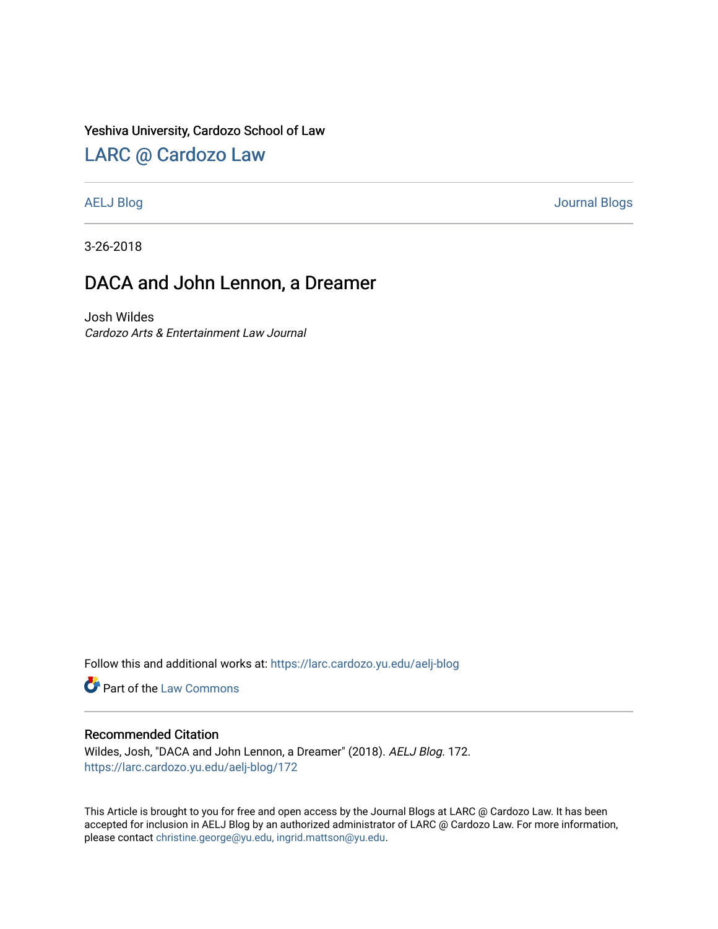### Yeshiva University, Cardozo School of Law

# [LARC @ Cardozo Law](https://larc.cardozo.yu.edu/)

[AELJ Blog](https://larc.cardozo.yu.edu/aelj-blog) [Journal Blogs](https://larc.cardozo.yu.edu/journal-blogs) 

3-26-2018

# DACA and John Lennon, a Dreamer

Josh Wildes Cardozo Arts & Entertainment Law Journal

Follow this and additional works at: [https://larc.cardozo.yu.edu/aelj-blog](https://larc.cardozo.yu.edu/aelj-blog?utm_source=larc.cardozo.yu.edu%2Faelj-blog%2F172&utm_medium=PDF&utm_campaign=PDFCoverPages) 

Part of the [Law Commons](http://network.bepress.com/hgg/discipline/578?utm_source=larc.cardozo.yu.edu%2Faelj-blog%2F172&utm_medium=PDF&utm_campaign=PDFCoverPages)

### Recommended Citation

Wildes, Josh, "DACA and John Lennon, a Dreamer" (2018). AELJ Blog. 172. [https://larc.cardozo.yu.edu/aelj-blog/172](https://larc.cardozo.yu.edu/aelj-blog/172?utm_source=larc.cardozo.yu.edu%2Faelj-blog%2F172&utm_medium=PDF&utm_campaign=PDFCoverPages) 

This Article is brought to you for free and open access by the Journal Blogs at LARC @ Cardozo Law. It has been accepted for inclusion in AELJ Blog by an authorized administrator of LARC @ Cardozo Law. For more information, please contact [christine.george@yu.edu, ingrid.mattson@yu.edu.](mailto:christine.george@yu.edu,%20ingrid.mattson@yu.edu)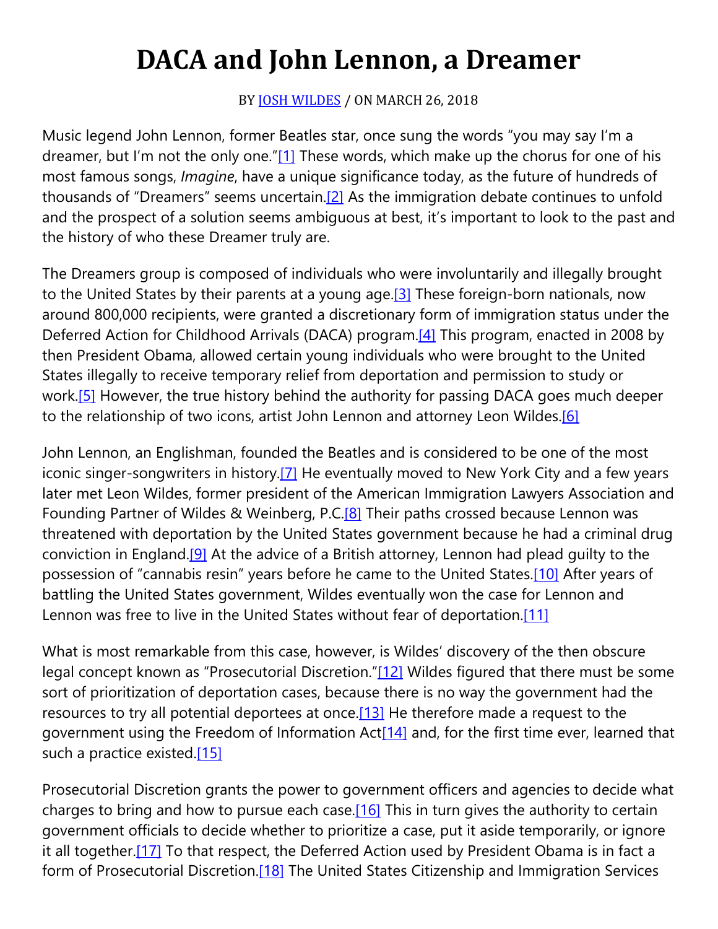# **DACA and John Lennon, a Dreamer**

## BY **[JOSH WILDES](https://cardozoaelj.com/author/joshwildes/)** / ON MARCH 26, 2018

Music legend John Lennon, former Beatles star, once sung the words "you may say I'm a dreamer, but I'm not the only one.["\[1\]](https://cardozoaelj.com/2018/03/26/daca-john-lennon-dreamer/#_ftn1) These words, which make up the chorus for one of his most famous songs, *Imagine*, have a unique significance today, as the future of hundreds of thousands of "Dreamers" seems uncertain[.\[2\]](https://cardozoaelj.com/2018/03/26/daca-john-lennon-dreamer/#_ftn2) As the immigration debate continues to unfold and the prospect of a solution seems ambiguous at best, it's important to look to the past and the history of who these Dreamer truly are.

The Dreamers group is composed of individuals who were involuntarily and illegally brought to the United States by their parents at a young age.<sup>[3]</sup> These foreign-born nationals, now around 800,000 recipients, were granted a discretionary form of immigration status under the Deferred Action for Childhood Arrivals (DACA) program[.\[4\]](https://cardozoaelj.com/2018/03/26/daca-john-lennon-dreamer/#_ftn4) This program, enacted in 2008 by then President Obama, allowed certain young individuals who were brought to the United States illegally to receive temporary relief from deportation and permission to study or work.<sup>[5]</sup> However, the true history behind the authority for passing DACA goes much deeper to the relationship of two icons, artist John Lennon and attorney Leon Wildes.<sup>[6]</sup>

John Lennon, an Englishman, founded the Beatles and is considered to be one of the most iconic singer-songwriters in history.<sup>[7]</sup> He eventually moved to New York City and a few years later met Leon Wildes, former president of the American Immigration Lawyers Association and Founding Partner of Wildes & Weinberg, P.C.<sup>[8]</sup> Their paths crossed because Lennon was threatened with deportation by the United States government because he had a criminal drug conviction in England[.\[9\]](https://cardozoaelj.com/2018/03/26/daca-john-lennon-dreamer/#_ftn9) At the advice of a British attorney, Lennon had plead guilty to the possession of "cannabis resin" years before he came to the United States[.\[10\]](https://cardozoaelj.com/2018/03/26/daca-john-lennon-dreamer/#_ftn10) After years of battling the United States government, Wildes eventually won the case for Lennon and Lennon was free to live in the United States without fear of deportation.<sup>[11]</sup>

What is most remarkable from this case, however, is Wildes' discovery of the then obscure legal concept known as "Prosecutorial Discretion.["\[12\]](https://cardozoaelj.com/2018/03/26/daca-john-lennon-dreamer/#_ftn12) Wildes figured that there must be some sort of prioritization of deportation cases, because there is no way the government had the resources to try all potential deportees at once[.\[13\]](https://cardozoaelj.com/2018/03/26/daca-john-lennon-dreamer/#_ftn13) He therefore made a request to the government using the Freedom of Information Act<sup>[14]</sup> and, for the first time ever, learned that such a practice existed[.\[15\]](https://cardozoaelj.com/2018/03/26/daca-john-lennon-dreamer/#_ftn15)

Prosecutorial Discretion grants the power to government officers and agencies to decide what charges to bring and how to pursue each case. $[16]$  This in turn gives the authority to certain government officials to decide whether to prioritize a case, put it aside temporarily, or ignore it all together[.\[17\]](https://cardozoaelj.com/2018/03/26/daca-john-lennon-dreamer/#_ftn17) To that respect, the Deferred Action used by President Obama is in fact a form of Prosecutorial Discretion.<sup>[18]</sup> The United States Citizenship and Immigration Services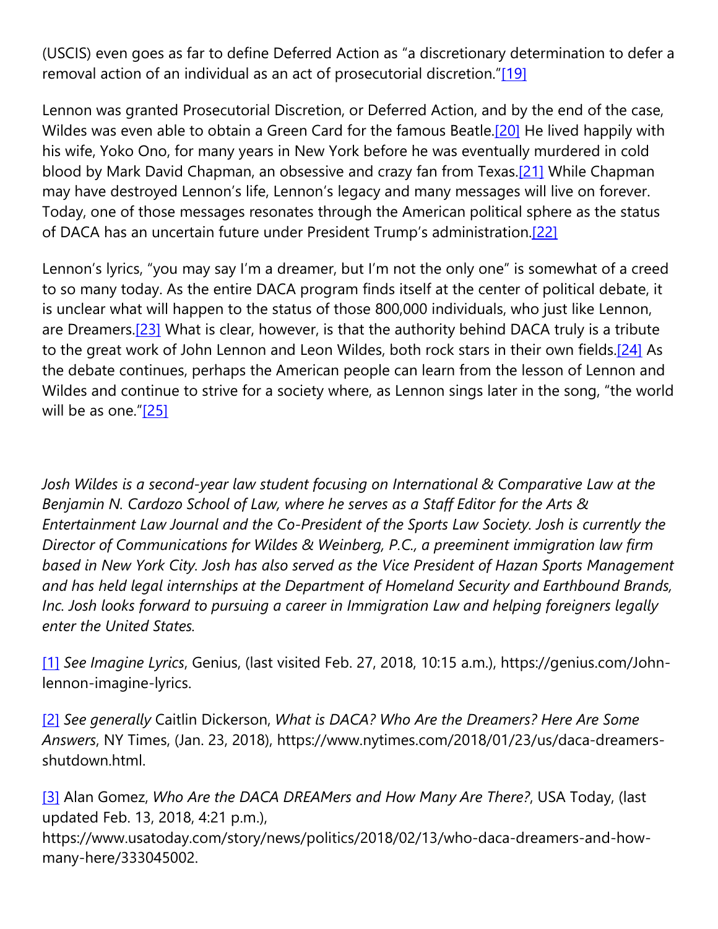(USCIS) even goes as far to define Deferred Action as "a discretionary determination to defer a removal action of an individual as an act of prosecutorial discretion.["\[19\]](https://cardozoaelj.com/2018/03/26/daca-john-lennon-dreamer/#_ftn19)

Lennon was granted Prosecutorial Discretion, or Deferred Action, and by the end of the case, Wildes was even able to obtain a Green Card for the famous Beatle[.\[20\]](https://cardozoaelj.com/2018/03/26/daca-john-lennon-dreamer/#_ftn20) He lived happily with his wife, Yoko Ono, for many years in New York before he was eventually murdered in cold blood by Mark David Chapman, an obsessive and crazy fan from Texas[.\[21\]](https://cardozoaelj.com/2018/03/26/daca-john-lennon-dreamer/#_ftn21) While Chapman may have destroyed Lennon's life, Lennon's legacy and many messages will live on forever. Today, one of those messages resonates through the American political sphere as the status of DACA has an uncertain future under President Trump's administration[.\[22\]](https://cardozoaelj.com/2018/03/26/daca-john-lennon-dreamer/#_ftn22)

Lennon's lyrics, "you may say I'm a dreamer, but I'm not the only one" is somewhat of a creed to so many today. As the entire DACA program finds itself at the center of political debate, it is unclear what will happen to the status of those 800,000 individuals, who just like Lennon, are Dreamers.<sup>[23]</sup> What is clear, however, is that the authority behind DACA truly is a tribute to the great work of John Lennon and Leon Wildes, both rock stars in their own fields.<sup>[24]</sup> As the debate continues, perhaps the American people can learn from the lesson of Lennon and Wildes and continue to strive for a society where, as Lennon sings later in the song, "the world will be as one.["\[25\]](https://cardozoaelj.com/2018/03/26/daca-john-lennon-dreamer/#_ftn25)

*Josh Wildes is a second-year law student focusing on International & Comparative Law at the Benjamin N. Cardozo School of Law, where he serves as a Staff Editor for the Arts & Entertainment Law Journal and the Co-President of the Sports Law Society. Josh is currently the Director of Communications for Wildes & Weinberg, P.C., a preeminent immigration law firm based in New York City. Josh has also served as the Vice President of Hazan Sports Management and has held legal internships at the Department of Homeland Security and Earthbound Brands, Inc. Josh looks forward to pursuing a career in Immigration Law and helping foreigners legally enter the United States.*

[\[1\]](https://cardozoaelj.com/2018/03/26/daca-john-lennon-dreamer/#_ftnref1) *See Imagine Lyrics*, Genius, (last visited Feb. 27, 2018, 10:15 a.m.), https://genius.com/Johnlennon-imagine-lyrics.

[\[2\]](https://cardozoaelj.com/2018/03/26/daca-john-lennon-dreamer/#_ftnref2) *See generally* Caitlin Dickerson, *What is DACA? Who Are the Dreamers? Here Are Some Answers*, NY Times, (Jan. 23, 2018), https://www.nytimes.com/2018/01/23/us/daca-dreamersshutdown.html.

[\[3\]](https://cardozoaelj.com/2018/03/26/daca-john-lennon-dreamer/#_ftnref3) Alan Gomez, *Who Are the DACA DREAMers and How Many Are There?*, USA Today, (last updated Feb. 13, 2018, 4:21 p.m.),

https://www.usatoday.com/story/news/politics/2018/02/13/who-daca-dreamers-and-howmany-here/333045002.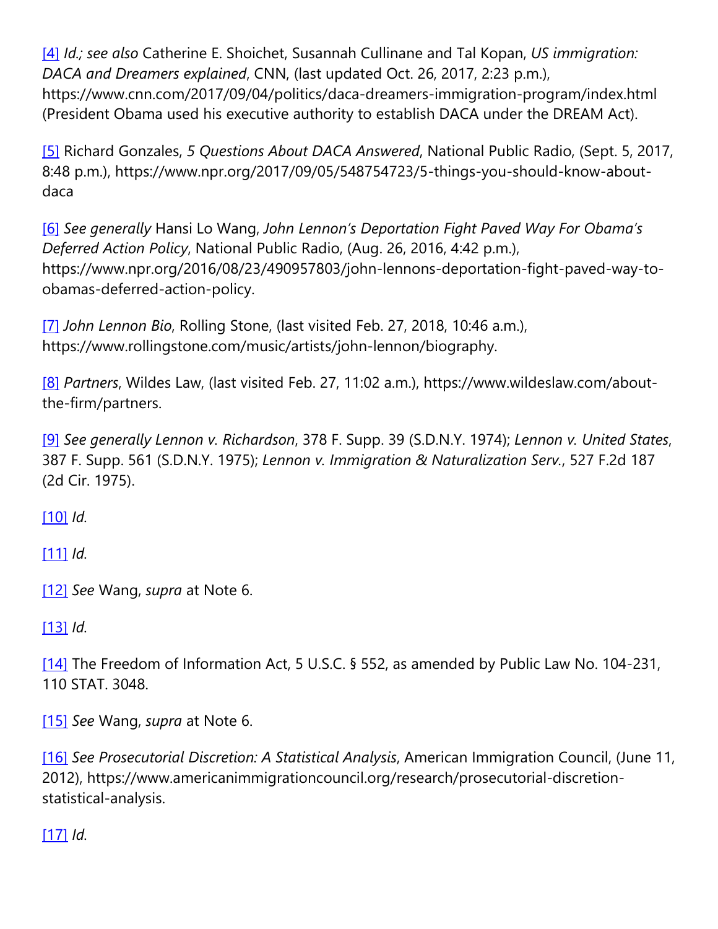[\[4\]](https://cardozoaelj.com/2018/03/26/daca-john-lennon-dreamer/#_ftnref4) *Id.; see also* Catherine E. Shoichet, Susannah Cullinane and Tal Kopan, *US immigration: DACA and Dreamers explained*, CNN, (last updated Oct. 26, 2017, 2:23 p.m.), https://www.cnn.com/2017/09/04/politics/daca-dreamers-immigration-program/index.html (President Obama used his executive authority to establish DACA under the DREAM Act).

[\[5\]](https://cardozoaelj.com/2018/03/26/daca-john-lennon-dreamer/#_ftnref5) Richard Gonzales, *5 Questions About DACA Answered*, National Public Radio, (Sept. 5, 2017, 8:48 p.m.), https://www.npr.org/2017/09/05/548754723/5-things-you-should-know-aboutdaca

[\[6\]](https://cardozoaelj.com/2018/03/26/daca-john-lennon-dreamer/#_ftnref6) *See generally* Hansi Lo Wang, *John Lennon's Deportation Fight Paved Way For Obama's Deferred Action Policy*, National Public Radio, (Aug. 26, 2016, 4:42 p.m.), https://www.npr.org/2016/08/23/490957803/john-lennons-deportation-fight-paved-way-toobamas-deferred-action-policy.

[\[7\]](https://cardozoaelj.com/2018/03/26/daca-john-lennon-dreamer/#_ftnref7) *John Lennon Bio*, Rolling Stone, (last visited Feb. 27, 2018, 10:46 a.m.), https://www.rollingstone.com/music/artists/john-lennon/biography.

[\[8\]](https://cardozoaelj.com/2018/03/26/daca-john-lennon-dreamer/#_ftnref8) *Partners*, Wildes Law, (last visited Feb. 27, 11:02 a.m.), https://www.wildeslaw.com/aboutthe-firm/partners.

[\[9\]](https://cardozoaelj.com/2018/03/26/daca-john-lennon-dreamer/#_ftnref9) *See generally Lennon v. Richardson*, 378 F. Supp. 39 (S.D.N.Y. 1974); *Lennon v. United States*, 387 F. Supp. 561 (S.D.N.Y. 1975); *Lennon v. Immigration & Naturalization Serv.*, 527 F.2d 187 (2d Cir. 1975).

[\[10\]](https://cardozoaelj.com/2018/03/26/daca-john-lennon-dreamer/#_ftnref10) *Id.*

[\[11\]](https://cardozoaelj.com/2018/03/26/daca-john-lennon-dreamer/#_ftnref11) *Id.*

[\[12\]](https://cardozoaelj.com/2018/03/26/daca-john-lennon-dreamer/#_ftnref12) *See* Wang, *supra* at Note 6.

[\[13\]](https://cardozoaelj.com/2018/03/26/daca-john-lennon-dreamer/#_ftnref13) *Id.*

[\[14\]](https://cardozoaelj.com/2018/03/26/daca-john-lennon-dreamer/#_ftnref14) The Freedom of Information Act, 5 U.S.C. § 552, as amended by Public Law No. 104-231, 110 STAT. 3048.

[\[15\]](https://cardozoaelj.com/2018/03/26/daca-john-lennon-dreamer/#_ftnref15) *See* Wang, *supra* at Note 6.

[\[16\]](https://cardozoaelj.com/2018/03/26/daca-john-lennon-dreamer/#_ftnref16) *See Prosecutorial Discretion: A Statistical Analysis*, American Immigration Council, (June 11, 2012), https://www.americanimmigrationcouncil.org/research/prosecutorial-discretionstatistical-analysis.

[\[17\]](https://cardozoaelj.com/2018/03/26/daca-john-lennon-dreamer/#_ftnref17) *Id.*